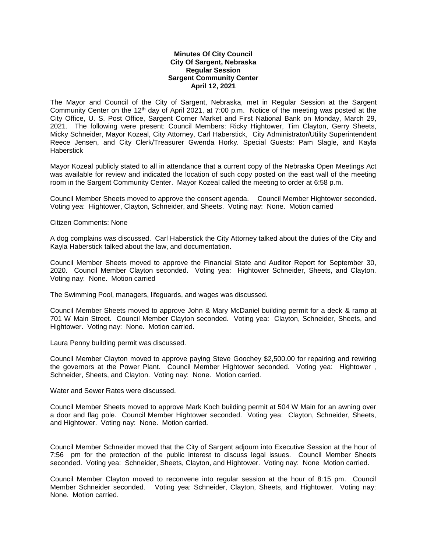## **Minutes Of City Council City Of Sargent, Nebraska Regular Session Sargent Community Center April 12, 2021**

The Mayor and Council of the City of Sargent, Nebraska, met in Regular Session at the Sargent Community Center on the 12th day of April 2021, at 7:00 p.m. Notice of the meeting was posted at the City Office, U. S. Post Office, Sargent Corner Market and First National Bank on Monday, March 29, 2021. The following were present: Council Members: Ricky Hightower, Tim Clayton, Gerry Sheets, Micky Schneider, Mayor Kozeal, City Attorney, Carl Haberstick, City Administrator/Utility Superintendent Reece Jensen, and City Clerk/Treasurer Gwenda Horky. Special Guests: Pam Slagle, and Kayla Haberstick

Mayor Kozeal publicly stated to all in attendance that a current copy of the Nebraska Open Meetings Act was available for review and indicated the location of such copy posted on the east wall of the meeting room in the Sargent Community Center. Mayor Kozeal called the meeting to order at 6:58 p.m.

Council Member Sheets moved to approve the consent agenda. Council Member Hightower seconded. Voting yea: Hightower, Clayton, Schneider, and Sheets. Voting nay: None. Motion carried

## Citizen Comments: None

A dog complains was discussed. Carl Haberstick the City Attorney talked about the duties of the City and Kayla Haberstick talked about the law, and documentation.

Council Member Sheets moved to approve the Financial State and Auditor Report for September 30, 2020. Council Member Clayton seconded. Voting yea: Hightower Schneider, Sheets, and Clayton. Voting nay: None. Motion carried

The Swimming Pool, managers, lifeguards, and wages was discussed.

Council Member Sheets moved to approve John & Mary McDaniel building permit for a deck & ramp at 701 W Main Street. Council Member Clayton seconded. Voting yea: Clayton, Schneider, Sheets, and Hightower. Voting nay: None. Motion carried.

Laura Penny building permit was discussed.

Council Member Clayton moved to approve paying Steve Goochey \$2,500.00 for repairing and rewiring the governors at the Power Plant. Council Member Hightower seconded. Voting yea: Hightower , Schneider, Sheets, and Clayton. Voting nay: None. Motion carried.

Water and Sewer Rates were discussed.

Council Member Sheets moved to approve Mark Koch building permit at 504 W Main for an awning over a door and flag pole. Council Member Hightower seconded. Voting yea: Clayton, Schneider, Sheets, and Hightower. Voting nay: None. Motion carried.

Council Member Schneider moved that the City of Sargent adjourn into Executive Session at the hour of 7:56 pm for the protection of the public interest to discuss legal issues. Council Member Sheets seconded. Voting yea: Schneider, Sheets, Clayton, and Hightower. Voting nay: None Motion carried.

Council Member Clayton moved to reconvene into regular session at the hour of 8:15 pm. Council Member Schneider seconded. Voting yea: Schneider, Clayton, Sheets, and Hightower. Voting nay: None. Motion carried.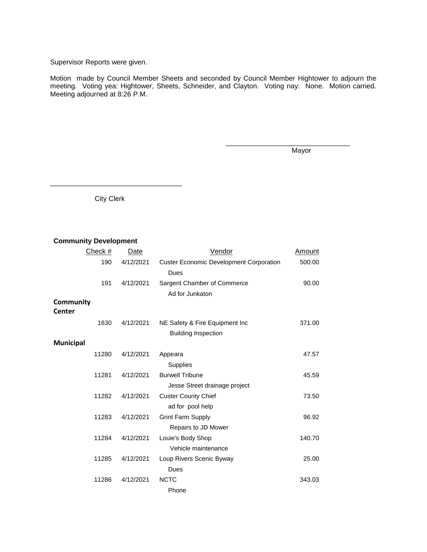## Supervisor Reports were given.

Motion made by Council Member Sheets and seconded by Council Member Hightower to adjourn the meeting. Voting yea: Hightower, Sheets, Schneider, and Clayton. Voting nay: None. Motion carried. Meeting adjourned at 8:26 P.M.

Mayor

\_\_\_\_\_\_\_\_\_\_\_\_\_\_\_\_\_\_\_\_\_\_\_\_\_\_\_\_\_\_\_\_

City Clerk

\_\_\_\_\_\_\_\_\_\_\_\_\_\_\_\_\_\_\_\_\_\_\_\_\_\_\_\_\_\_\_\_\_\_

## **Community Development**

| Check #   | Date      | Vendor                                         | Amount |
|-----------|-----------|------------------------------------------------|--------|
| 190       | 4/12/2021 | <b>Custer Economic Development Corporation</b> | 500.00 |
|           |           | Dues                                           |        |
| 191       | 4/12/2021 | Sargent Chamber of Commerce                    | 90.00  |
|           |           | Ad for Junkaton                                |        |
| Community |           |                                                |        |
| Center    |           |                                                |        |
| 1630      | 4/12/2021 | NE Safety & Fire Equipment Inc                 | 371.00 |
|           |           | <b>Building Inspection</b>                     |        |
| Municipal |           |                                                |        |
| 11280     | 4/12/2021 | Appeara                                        | 47.57  |
|           |           | <b>Supplies</b>                                |        |
| 11281     | 4/12/2021 | <b>Burwell Tribune</b>                         | 45.59  |
|           |           | Jesse Street drainage project                  |        |
| 11282     | 4/12/2021 | <b>Custer County Chief</b>                     | 73.50  |
|           |           | ad for pool help                               |        |
| 11283     | 4/12/2021 | <b>Grint Farm Supply</b>                       | 96.92  |
|           |           | Repairs to JD Mower                            |        |
| 11284     | 4/12/2021 | Louie's Body Shop                              | 140.70 |
|           |           | Vehicle maintenance                            |        |
| 11285     | 4/12/2021 | Loup Rivers Scenic Byway                       | 25.00  |
|           |           | Dues                                           |        |
| 11286     | 4/12/2021 | <b>NCTC</b>                                    | 343.03 |
|           |           | Phone                                          |        |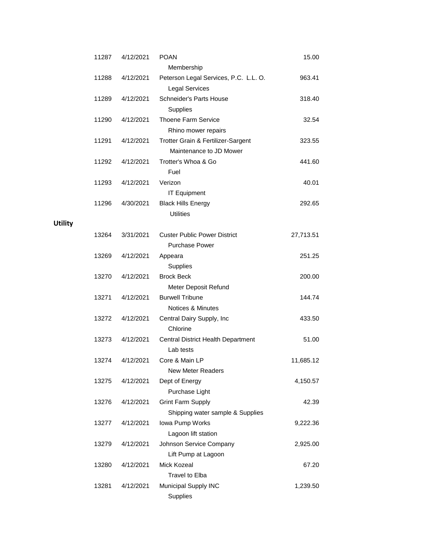| 11287 | 4/12/2021 | <b>POAN</b>                           | 15.00     |
|-------|-----------|---------------------------------------|-----------|
|       |           | Membership                            |           |
| 11288 | 4/12/2021 | Peterson Legal Services, P.C. L.L. O. | 963.41    |
|       |           | <b>Legal Services</b>                 |           |
| 11289 | 4/12/2021 | Schneider's Parts House               | 318.40    |
|       |           | <b>Supplies</b>                       |           |
| 11290 | 4/12/2021 | <b>Thoene Farm Service</b>            | 32.54     |
|       |           | Rhino mower repairs                   |           |
| 11291 | 4/12/2021 | Trotter Grain & Fertilizer-Sargent    | 323.55    |
|       |           | Maintenance to JD Mower               |           |
| 11292 | 4/12/2021 | Trotter's Whoa & Go<br>Fuel           | 441.60    |
| 11293 | 4/12/2021 | Verizon                               | 40.01     |
|       |           | <b>IT Equipment</b>                   |           |
| 11296 | 4/30/2021 | <b>Black Hills Energy</b>             | 292.65    |
|       |           | <b>Utilities</b>                      |           |
|       |           |                                       |           |
| 13264 | 3/31/2021 | <b>Custer Public Power District</b>   | 27,713.51 |
|       |           | <b>Purchase Power</b>                 |           |
| 13269 | 4/12/2021 | Appeara                               | 251.25    |
|       |           | Supplies                              |           |
| 13270 | 4/12/2021 | <b>Brock Beck</b>                     | 200.00    |
|       |           | Meter Deposit Refund                  |           |
| 13271 | 4/12/2021 | <b>Burwell Tribune</b>                | 144.74    |
|       |           | <b>Notices &amp; Minutes</b>          |           |
| 13272 | 4/12/2021 | Central Dairy Supply, Inc             | 433.50    |
|       |           | Chlorine                              |           |
| 13273 | 4/12/2021 | Central District Health Department    | 51.00     |
|       |           | Lab tests                             |           |
| 13274 | 4/12/2021 | Core & Main LP                        | 11,685.12 |
|       |           | <b>New Meter Readers</b>              |           |
| 13275 | 4/12/2021 | Dept of Energy                        | 4,150.57  |
|       |           | Purchase Light                        |           |
| 13276 | 4/12/2021 | <b>Grint Farm Supply</b>              | 42.39     |
|       |           | Shipping water sample & Supplies      |           |
| 13277 | 4/12/2021 | Iowa Pump Works                       | 9,222.36  |
|       |           | Lagoon lift station                   |           |
| 13279 | 4/12/2021 | Johnson Service Company               | 2,925.00  |
|       |           | Lift Pump at Lagoon                   |           |
| 13280 | 4/12/2021 | Mick Kozeal                           | 67.20     |
|       |           | Travel to Elba                        |           |
| 13281 | 4/12/2021 | Municipal Supply INC                  | 1,239.50  |
|       |           | Supplies                              |           |

**Utility**